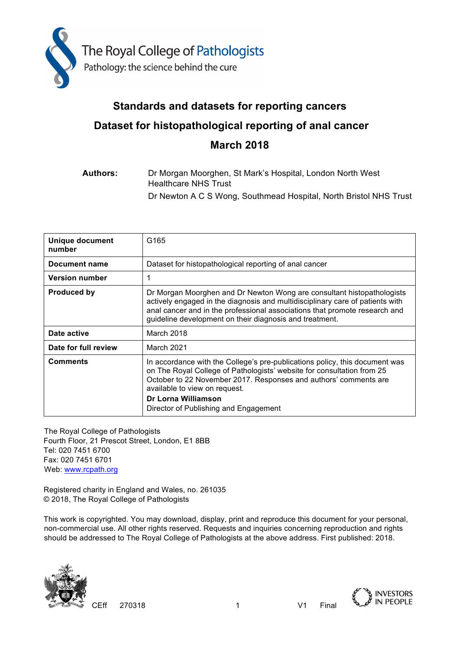

# **Standards and datasets for reporting cancers Dataset for histopathological reporting of anal cancer March 2018**

### **Authors:** Dr Morgan Moorghen, St Mark's Hospital, London North West Healthcare NHS Trust Dr Newton A C S Wong, Southmead Hospital, North Bristol NHS Trust

| <b>Unique document</b><br>number | G <sub>165</sub>                                                                                                                                                                                                                                                                                                           |
|----------------------------------|----------------------------------------------------------------------------------------------------------------------------------------------------------------------------------------------------------------------------------------------------------------------------------------------------------------------------|
| Document name                    | Dataset for histopathological reporting of anal cancer                                                                                                                                                                                                                                                                     |
| <b>Version number</b>            | 1                                                                                                                                                                                                                                                                                                                          |
| <b>Produced by</b>               | Dr Morgan Moorghen and Dr Newton Wong are consultant histopathologists<br>actively engaged in the diagnosis and multidisciplinary care of patients with<br>anal cancer and in the professional associations that promote research and<br>guideline development on their diagnosis and treatment.                           |
| Date active                      | March 2018                                                                                                                                                                                                                                                                                                                 |
| Date for full review             | <b>March 2021</b>                                                                                                                                                                                                                                                                                                          |
| <b>Comments</b>                  | In accordance with the College's pre-publications policy, this document was<br>on The Royal College of Pathologists' website for consultation from 25<br>October to 22 November 2017. Responses and authors' comments are<br>available to view on request.<br>Dr Lorna Williamson<br>Director of Publishing and Engagement |

The Royal College of Pathologists Fourth Floor, 21 Prescot Street, London, E1 8BB Tel: 020 7451 6700 Fax: 020 7451 6701 Web: www.rcpath.org

Registered charity in England and Wales, no. 261035 © 2018, The Royal College of Pathologists

This work is copyrighted. You may download, display, print and reproduce this document for your personal, non-commercial use. All other rights reserved. Requests and inquiries concerning reproduction and rights should be addressed to The Royal College of Pathologists at the above address. First published: 2018.



CEff 270318 1 V1 Final



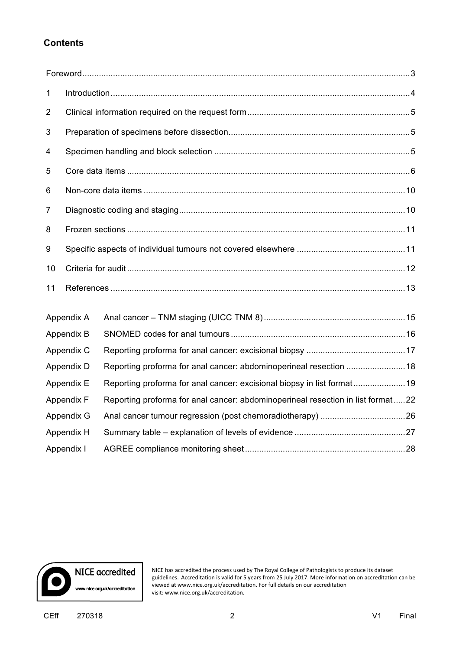### **Contents**

| $\mathbf 1$    |            |                                                                                 |  |
|----------------|------------|---------------------------------------------------------------------------------|--|
| $\overline{2}$ |            |                                                                                 |  |
| 3              |            |                                                                                 |  |
| 4              |            |                                                                                 |  |
| 5              |            |                                                                                 |  |
| 6              |            |                                                                                 |  |
| 7              |            |                                                                                 |  |
| 8              |            |                                                                                 |  |
| 9              |            |                                                                                 |  |
| 10             |            |                                                                                 |  |
| 11             |            |                                                                                 |  |
|                | Appendix A |                                                                                 |  |
|                | Appendix B |                                                                                 |  |
|                | Appendix C |                                                                                 |  |
|                | Appendix D | Reporting proforma for anal cancer: abdominoperineal resection  18              |  |
|                | Appendix E | Reporting proforma for anal cancer: excisional biopsy in list format19          |  |
|                | Appendix F | Reporting proforma for anal cancer: abdominoperineal resection in list format22 |  |
|                | Appendix G |                                                                                 |  |
|                | Appendix H |                                                                                 |  |
|                | Appendix I |                                                                                 |  |



NICE has accredited the process used by The Royal College of Pathologists to produce its dataset guidelines. Accreditation is valid for 5 years from 25 July 2017. More information on accreditation can be viewed at www.nice.org.uk/accreditation. For full details on our accreditation visit: www.nice.org.uk/accreditation.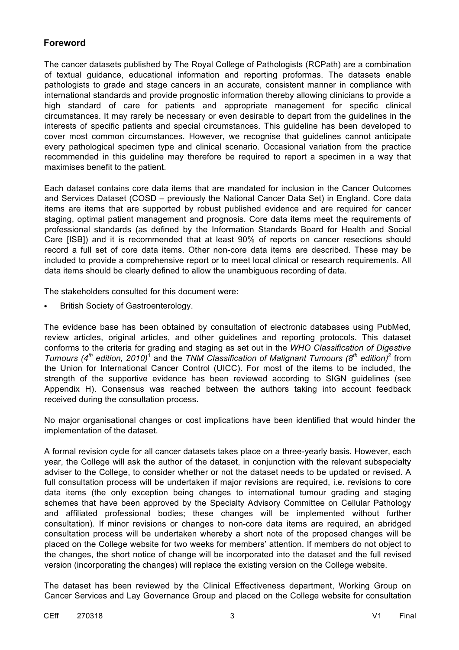### **Foreword**

The cancer datasets published by The Royal College of Pathologists (RCPath) are a combination of textual guidance, educational information and reporting proformas. The datasets enable pathologists to grade and stage cancers in an accurate, consistent manner in compliance with international standards and provide prognostic information thereby allowing clinicians to provide a high standard of care for patients and appropriate management for specific clinical circumstances. It may rarely be necessary or even desirable to depart from the guidelines in the interests of specific patients and special circumstances. This guideline has been developed to cover most common circumstances. However, we recognise that guidelines cannot anticipate every pathological specimen type and clinical scenario. Occasional variation from the practice recommended in this guideline may therefore be required to report a specimen in a way that maximises benefit to the patient.

Each dataset contains core data items that are mandated for inclusion in the Cancer Outcomes and Services Dataset (COSD – previously the National Cancer Data Set) in England. Core data items are items that are supported by robust published evidence and are required for cancer staging, optimal patient management and prognosis. Core data items meet the requirements of professional standards (as defined by the Information Standards Board for Health and Social Care [ISB]) and it is recommended that at least 90% of reports on cancer resections should record a full set of core data items. Other non-core data items are described. These may be included to provide a comprehensive report or to meet local clinical or research requirements. All data items should be clearly defined to allow the unambiguous recording of data.

The stakeholders consulted for this document were:

• British Society of Gastroenterology.

The evidence base has been obtained by consultation of electronic databases using PubMed, review articles, original articles, and other guidelines and reporting protocols. This dataset conforms to the criteria for grading and staging as set out in the *WHO Classification of Digestive Tumours (4th edition, 2010)*<sup>1</sup> and the *TNM Classification of Malignant Tumours (8th edition)*<sup>2</sup> from the Union for International Cancer Control (UICC). For most of the items to be included, the strength of the supportive evidence has been reviewed according to SIGN guidelines (see Appendix H). Consensus was reached between the authors taking into account feedback received during the consultation process.

No major organisational changes or cost implications have been identified that would hinder the implementation of the dataset.

A formal revision cycle for all cancer datasets takes place on a three-yearly basis. However, each year, the College will ask the author of the dataset, in conjunction with the relevant subspecialty adviser to the College, to consider whether or not the dataset needs to be updated or revised. A full consultation process will be undertaken if major revisions are required, i.e. revisions to core data items (the only exception being changes to international tumour grading and staging schemes that have been approved by the Specialty Advisory Committee on Cellular Pathology and affiliated professional bodies; these changes will be implemented without further consultation). If minor revisions or changes to non-core data items are required, an abridged consultation process will be undertaken whereby a short note of the proposed changes will be placed on the College website for two weeks for members' attention. If members do not object to the changes, the short notice of change will be incorporated into the dataset and the full revised version (incorporating the changes) will replace the existing version on the College website.

The dataset has been reviewed by the Clinical Effectiveness department, Working Group on Cancer Services and Lay Governance Group and placed on the College website for consultation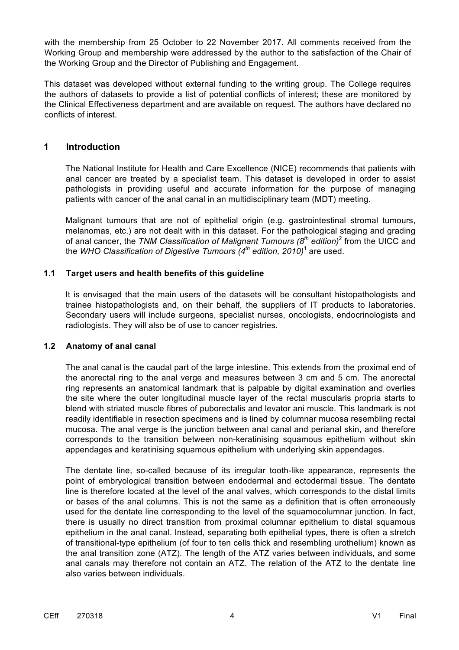with the membership from 25 October to 22 November 2017. All comments received from the Working Group and membership were addressed by the author to the satisfaction of the Chair of the Working Group and the Director of Publishing and Engagement.

This dataset was developed without external funding to the writing group. The College requires the authors of datasets to provide a list of potential conflicts of interest; these are monitored by the Clinical Effectiveness department and are available on request. The authors have declared no conflicts of interest.

#### **1 Introduction**

The National Institute for Health and Care Excellence (NICE) recommends that patients with anal cancer are treated by a specialist team. This dataset is developed in order to assist pathologists in providing useful and accurate information for the purpose of managing patients with cancer of the anal canal in an multidisciplinary team (MDT) meeting.

Malignant tumours that are not of epithelial origin (e.g. gastrointestinal stromal tumours, melanomas, etc.) are not dealt with in this dataset. For the pathological staging and grading of anal cancer, the *TNM Classification of Malignant Tumours (8th edition)*<sup>2</sup> from the UICC and the *WHO Classification of Digestive Tumours (4th edition, 2010)*<sup>1</sup> are used.

#### **1.1 Target users and health benefits of this guideline**

It is envisaged that the main users of the datasets will be consultant histopathologists and trainee histopathologists and, on their behalf, the suppliers of IT products to laboratories. Secondary users will include surgeons, specialist nurses, oncologists, endocrinologists and radiologists. They will also be of use to cancer registries.

#### **1.2 Anatomy of anal canal**

The anal canal is the caudal part of the large intestine. This extends from the proximal end of the anorectal ring to the anal verge and measures between 3 cm and 5 cm. The anorectal ring represents an anatomical landmark that is palpable by digital examination and overlies the site where the outer longitudinal muscle layer of the rectal muscularis propria starts to blend with striated muscle fibres of puborectalis and levator ani muscle. This landmark is not readily identifiable in resection specimens and is lined by columnar mucosa resembling rectal mucosa. The anal verge is the junction between anal canal and perianal skin, and therefore corresponds to the transition between non-keratinising squamous epithelium without skin appendages and keratinising squamous epithelium with underlying skin appendages.

The dentate line, so-called because of its irregular tooth-like appearance, represents the point of embryological transition between endodermal and ectodermal tissue. The dentate line is therefore located at the level of the anal valves, which corresponds to the distal limits or bases of the anal columns. This is not the same as a definition that is often erroneously used for the dentate line corresponding to the level of the squamocolumnar junction. In fact, there is usually no direct transition from proximal columnar epithelium to distal squamous epithelium in the anal canal. Instead, separating both epithelial types, there is often a stretch of transitional-type epithelium (of four to ten cells thick and resembling urothelium) known as the anal transition zone (ATZ). The length of the ATZ varies between individuals, and some anal canals may therefore not contain an ATZ. The relation of the ATZ to the dentate line also varies between individuals.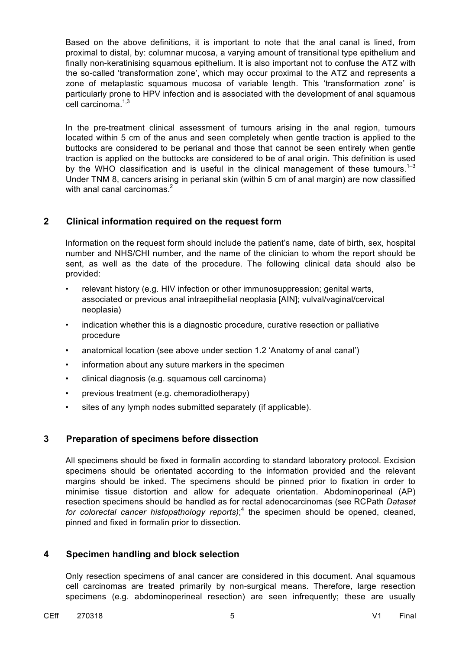Based on the above definitions, it is important to note that the anal canal is lined, from proximal to distal, by: columnar mucosa, a varying amount of transitional type epithelium and finally non-keratinising squamous epithelium. It is also important not to confuse the ATZ with the so-called 'transformation zone', which may occur proximal to the ATZ and represents a zone of metaplastic squamous mucosa of variable length. This 'transformation zone' is particularly prone to HPV infection and is associated with the development of anal squamous cell carcinoma $1,3$ 

In the pre-treatment clinical assessment of tumours arising in the anal region, tumours located within 5 cm of the anus and seen completely when gentle traction is applied to the buttocks are considered to be perianal and those that cannot be seen entirely when gentle traction is applied on the buttocks are considered to be of anal origin. This definition is used by the WHO classification and is useful in the clinical management of these tumours.<sup>1-3</sup> Under TNM 8, cancers arising in perianal skin (within 5 cm of anal margin) are now classified with anal canal carcinomas.<sup>2</sup>

#### **2 Clinical information required on the request form**

Information on the request form should include the patient's name, date of birth, sex, hospital number and NHS/CHI number, and the name of the clinician to whom the report should be sent, as well as the date of the procedure. The following clinical data should also be provided:

- relevant history (e.g. HIV infection or other immunosuppression; genital warts, associated or previous anal intraepithelial neoplasia [AIN]; vulval/vaginal/cervical neoplasia)
- indication whether this is a diagnostic procedure, curative resection or palliative procedure
- anatomical location (see above under section 1.2 'Anatomy of anal canal')
- information about any suture markers in the specimen
- clinical diagnosis (e.g. squamous cell carcinoma)
- previous treatment (e.g. chemoradiotherapy)
- sites of any lymph nodes submitted separately (if applicable).

#### **3 Preparation of specimens before dissection**

All specimens should be fixed in formalin according to standard laboratory protocol. Excision specimens should be orientated according to the information provided and the relevant margins should be inked. The specimens should be pinned prior to fixation in order to minimise tissue distortion and allow for adequate orientation. Abdominoperineal (AP) resection specimens should be handled as for rectal adenocarcinomas (see RCPath *Dataset for colorectal cancer histopathology reports)*; <sup>4</sup> the specimen should be opened, cleaned, pinned and fixed in formalin prior to dissection.

#### **4 Specimen handling and block selection**

Only resection specimens of anal cancer are considered in this document. Anal squamous cell carcinomas are treated primarily by non-surgical means. Therefore, large resection specimens (e.g. abdominoperineal resection) are seen infrequently; these are usually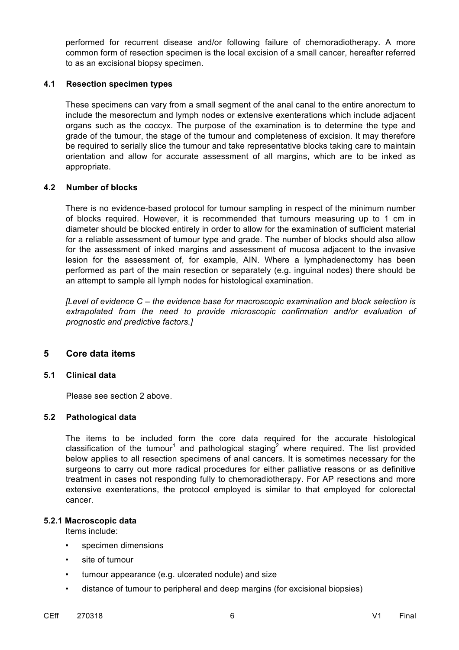performed for recurrent disease and/or following failure of chemoradiotherapy. A more common form of resection specimen is the local excision of a small cancer, hereafter referred to as an excisional biopsy specimen.

#### **4.1 Resection specimen types**

These specimens can vary from a small segment of the anal canal to the entire anorectum to include the mesorectum and lymph nodes or extensive exenterations which include adjacent organs such as the coccyx. The purpose of the examination is to determine the type and grade of the tumour, the stage of the tumour and completeness of excision. It may therefore be required to serially slice the tumour and take representative blocks taking care to maintain orientation and allow for accurate assessment of all margins, which are to be inked as appropriate.

#### **4.2 Number of blocks**

There is no evidence-based protocol for tumour sampling in respect of the minimum number of blocks required. However, it is recommended that tumours measuring up to 1 cm in diameter should be blocked entirely in order to allow for the examination of sufficient material for a reliable assessment of tumour type and grade. The number of blocks should also allow for the assessment of inked margins and assessment of mucosa adjacent to the invasive lesion for the assessment of, for example, AIN. Where a lymphadenectomy has been performed as part of the main resection or separately (e.g. inguinal nodes) there should be an attempt to sample all lymph nodes for histological examination.

*[Level of evidence C – the evidence base for macroscopic examination and block selection is extrapolated from the need to provide microscopic confirmation and/or evaluation of prognostic and predictive factors.]* 

#### **5 Core data items**

#### **5.1 Clinical data**

Please see section 2 above.

#### **5.2 Pathological data**

The items to be included form the core data required for the accurate histological classification of the tumour<sup>1</sup> and pathological staging<sup>2</sup> where required. The list provided below applies to all resection specimens of anal cancers. It is sometimes necessary for the surgeons to carry out more radical procedures for either palliative reasons or as definitive treatment in cases not responding fully to chemoradiotherapy. For AP resections and more extensive exenterations, the protocol employed is similar to that employed for colorectal cancer.

#### **5.2.1 Macroscopic data**

Items include:

- specimen dimensions
- site of tumour
- tumour appearance (e.g. ulcerated nodule) and size
- distance of tumour to peripheral and deep margins (for excisional biopsies)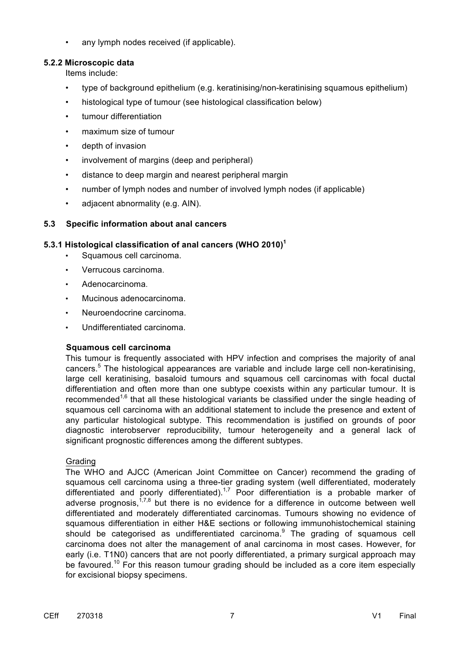• any lymph nodes received (if applicable).

#### **5.2.2 Microscopic data**

Items include:

- type of background epithelium (e.g. keratinising/non-keratinising squamous epithelium)
- histological type of tumour (see histological classification below)
- tumour differentiation
- maximum size of tumour
- depth of invasion
- involvement of margins (deep and peripheral)
- distance to deep margin and nearest peripheral margin
- number of lymph nodes and number of involved lymph nodes (if applicable)
- adjacent abnormality (e.g. AIN).

#### **5.3 Specific information about anal cancers**

#### **5.3.1 Histological classification of anal cancers (WHO 2010)<sup>1</sup>**

- Squamous cell carcinoma.
- Verrucous carcinoma.
- Adenocarcinoma.
- Mucinous adenocarcinoma.
- Neuroendocrine carcinoma.
- Undifferentiated carcinoma.

#### **Squamous cell carcinoma**

This tumour is frequently associated with HPV infection and comprises the majority of anal cancers.<sup>5</sup> The histological appearances are variable and include large cell non-keratinising. large cell keratinising, basaloid tumours and squamous cell carcinomas with focal ductal differentiation and often more than one subtype coexists within any particular tumour. It is recommended<sup>1,6</sup> that all these histological variants be classified under the single heading of squamous cell carcinoma with an additional statement to include the presence and extent of any particular histological subtype. This recommendation is justified on grounds of poor diagnostic interobserver reproducibility, tumour heterogeneity and a general lack of significant prognostic differences among the different subtypes.

#### Grading

The WHO and AJCC (American Joint Committee on Cancer) recommend the grading of squamous cell carcinoma using a three-tier grading system (well differentiated, moderately differentiated and poorly differentiated).<sup>1,7</sup> Poor differentiation is a probable marker of adverse prognosis,  $17,8$  but there is no evidence for a difference in outcome between well differentiated and moderately differentiated carcinomas. Tumours showing no evidence of squamous differentiation in either H&E sections or following immunohistochemical staining should be categorised as undifferentiated carcinoma. $9$  The grading of squamous cell carcinoma does not alter the management of anal carcinoma in most cases. However, for early (i.e. T1N0) cancers that are not poorly differentiated, a primary surgical approach may be favoured.<sup>10</sup> For this reason tumour grading should be included as a core item especially for excisional biopsy specimens.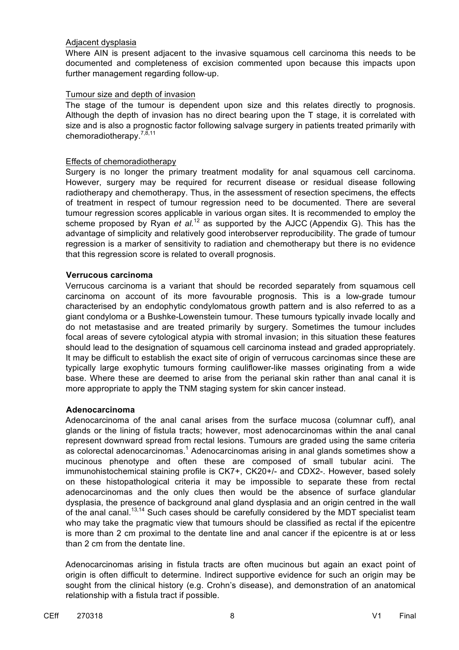#### Adjacent dysplasia

Where AIN is present adjacent to the invasive squamous cell carcinoma this needs to be documented and completeness of excision commented upon because this impacts upon further management regarding follow-up.

#### Tumour size and depth of invasion

The stage of the tumour is dependent upon size and this relates directly to prognosis. Although the depth of invasion has no direct bearing upon the T stage, it is correlated with size and is also a prognostic factor following salvage surgery in patients treated primarily with chemoradiotherapy.<sup>7,8,11</sup>

#### Effects of chemoradiotherapy

Surgery is no longer the primary treatment modality for anal squamous cell carcinoma. However, surgery may be required for recurrent disease or residual disease following radiotherapy and chemotherapy. Thus, in the assessment of resection specimens, the effects of treatment in respect of tumour regression need to be documented. There are several tumour regression scores applicable in various organ sites. It is recommended to employ the scheme proposed by Ryan *et al.*<sup>12</sup> as supported by the AJCC (Appendix G). This has the advantage of simplicity and relatively good interobserver reproducibility. The grade of tumour regression is a marker of sensitivity to radiation and chemotherapy but there is no evidence that this regression score is related to overall prognosis.

#### **Verrucous carcinoma**

Verrucous carcinoma is a variant that should be recorded separately from squamous cell carcinoma on account of its more favourable prognosis. This is a low-grade tumour characterised by an endophytic condylomatous growth pattern and is also referred to as a giant condyloma or a Bushke-Lowenstein tumour. These tumours typically invade locally and do not metastasise and are treated primarily by surgery. Sometimes the tumour includes focal areas of severe cytological atypia with stromal invasion; in this situation these features should lead to the designation of squamous cell carcinoma instead and graded appropriately. It may be difficult to establish the exact site of origin of verrucous carcinomas since these are typically large exophytic tumours forming cauliflower-like masses originating from a wide base. Where these are deemed to arise from the perianal skin rather than anal canal it is more appropriate to apply the TNM staging system for skin cancer instead.

#### **Adenocarcinoma**

Adenocarcinoma of the anal canal arises from the surface mucosa (columnar cuff), anal glands or the lining of fistula tracts; however, most adenocarcinomas within the anal canal represent downward spread from rectal lesions. Tumours are graded using the same criteria as colorectal adenocarcinomas.<sup>1</sup> Adenocarcinomas arising in anal glands sometimes show a mucinous phenotype and often these are composed of small tubular acini. The immunohistochemical staining profile is CK7+, CK20+/- and CDX2-. However, based solely on these histopathological criteria it may be impossible to separate these from rectal adenocarcinomas and the only clues then would be the absence of surface glandular dysplasia, the presence of background anal gland dysplasia and an origin centred in the wall of the anal canal.<sup>13,14</sup> Such cases should be carefully considered by the MDT specialist team who may take the pragmatic view that tumours should be classified as rectal if the epicentre is more than 2 cm proximal to the dentate line and anal cancer if the epicentre is at or less than 2 cm from the dentate line.

Adenocarcinomas arising in fistula tracts are often mucinous but again an exact point of origin is often difficult to determine. Indirect supportive evidence for such an origin may be sought from the clinical history (e.g. Crohn's disease), and demonstration of an anatomical relationship with a fistula tract if possible.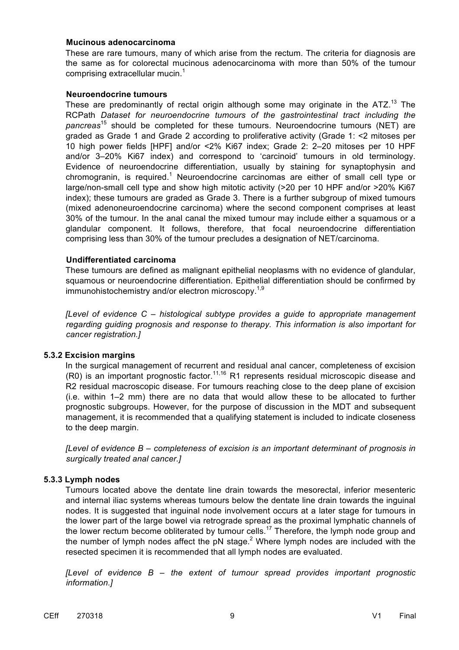#### **Mucinous adenocarcinoma**

These are rare tumours, many of which arise from the rectum. The criteria for diagnosis are the same as for colorectal mucinous adenocarcinoma with more than 50% of the tumour comprising extracellular mucin. $1$ 

#### **Neuroendocrine tumours**

These are predominantly of rectal origin although some may originate in the  $ATZ<sup>13</sup>$  The RCPath *Dataset for neuroendocrine tumours of the gastrointestinal tract including the pancreas*<sup>15</sup> should be completed for these tumours. Neuroendocrine tumours (NET) are graded as Grade 1 and Grade 2 according to proliferative activity (Grade 1: <2 mitoses per 10 high power fields [HPF] and/or <2% Ki67 index; Grade 2: 2–20 mitoses per 10 HPF and/or 3–20% Ki67 index) and correspond to 'carcinoid' tumours in old terminology. Evidence of neuroendocrine differentiation, usually by staining for synaptophysin and chromogranin, is required.<sup>1</sup> Neuroendocrine carcinomas are either of small cell type or large/non-small cell type and show high mitotic activity (>20 per 10 HPF and/or >20% Ki67 index); these tumours are graded as Grade 3. There is a further subgroup of mixed tumours (mixed adenoneuroendocrine carcinoma) where the second component comprises at least 30% of the tumour. In the anal canal the mixed tumour may include either a squamous or a glandular component. It follows, therefore, that focal neuroendocrine differentiation comprising less than 30% of the tumour precludes a designation of NET/carcinoma.

#### **Undifferentiated carcinoma**

These tumours are defined as malignant epithelial neoplasms with no evidence of glandular, squamous or neuroendocrine differentiation. Epithelial differentiation should be confirmed by immunohistochemistry and/or electron microscopy.<sup>1,9</sup>

*[Level of evidence C – histological subtype provides a guide to appropriate management regarding guiding prognosis and response to therapy. This information is also important for cancer registration.]*

#### **5.3.2 Excision margins**

In the surgical management of recurrent and residual anal cancer, completeness of excision  $(R0)$  is an important prognostic factor.<sup>11,16</sup> R1 represents residual microscopic disease and R2 residual macroscopic disease. For tumours reaching close to the deep plane of excision (i.e. within 1–2 mm) there are no data that would allow these to be allocated to further prognostic subgroups. However, for the purpose of discussion in the MDT and subsequent management, it is recommended that a qualifying statement is included to indicate closeness to the deep margin.

*[Level of evidence B – completeness of excision is an important determinant of prognosis in surgically treated anal cancer.]* 

#### **5.3.3 Lymph nodes**

Tumours located above the dentate line drain towards the mesorectal, inferior mesenteric and internal iliac systems whereas tumours below the dentate line drain towards the inguinal nodes. It is suggested that inguinal node involvement occurs at a later stage for tumours in the lower part of the large bowel via retrograde spread as the proximal lymphatic channels of the lower rectum become obliterated by tumour cells.<sup>17</sup> Therefore, the lymph node group and the number of lymph nodes affect the pN stage.<sup>2</sup> Where lymph nodes are included with the resected specimen it is recommended that all lymph nodes are evaluated.

*[Level of evidence B – the extent of tumour spread provides important prognostic information.]*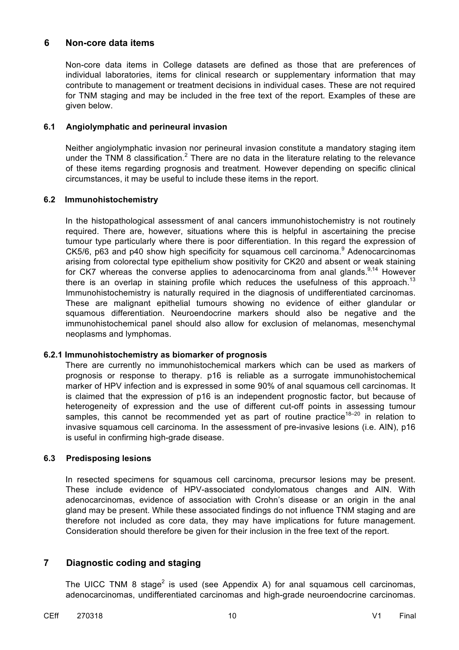#### **6 Non-core data items**

Non-core data items in College datasets are defined as those that are preferences of individual laboratories, items for clinical research or supplementary information that may contribute to management or treatment decisions in individual cases. These are not required for TNM staging and may be included in the free text of the report. Examples of these are given below.

#### **6.1 Angiolymphatic and perineural invasion**

Neither angiolymphatic invasion nor perineural invasion constitute a mandatory staging item under the TNM 8 classification.<sup>2</sup> There are no data in the literature relating to the relevance of these items regarding prognosis and treatment. However depending on specific clinical circumstances, it may be useful to include these items in the report.

#### **6.2 Immunohistochemistry**

In the histopathological assessment of anal cancers immunohistochemistry is not routinely required. There are, however, situations where this is helpful in ascertaining the precise tumour type particularly where there is poor differentiation. In this regard the expression of  $CK5/6$ ,  $p63$  and  $p40$  show high specificity for squamous cell carcinoma.<sup>9</sup> Adenocarcinomas arising from colorectal type epithelium show positivity for CK20 and absent or weak staining for CK7 whereas the converse applies to adenocarcinoma from anal glands. $9,14$  However there is an overlap in staining profile which reduces the usefulness of this approach.<sup>13</sup> Immunohistochemistry is naturally required in the diagnosis of undifferentiated carcinomas. These are malignant epithelial tumours showing no evidence of either glandular or squamous differentiation. Neuroendocrine markers should also be negative and the immunohistochemical panel should also allow for exclusion of melanomas, mesenchymal neoplasms and lymphomas.

#### **6.2.1 Immunohistochemistry as biomarker of prognosis**

There are currently no immunohistochemical markers which can be used as markers of prognosis or response to therapy. p16 is reliable as a surrogate immunohistochemical marker of HPV infection and is expressed in some 90% of anal squamous cell carcinomas. It is claimed that the expression of p16 is an independent prognostic factor, but because of heterogeneity of expression and the use of different cut-off points in assessing tumour samples, this cannot be recommended yet as part of routine practice<sup>18–20</sup> in relation to invasive squamous cell carcinoma. In the assessment of pre-invasive lesions (i.e. AIN), p16 is useful in confirming high-grade disease.

#### **6.3 Predisposing lesions**

In resected specimens for squamous cell carcinoma, precursor lesions may be present. These include evidence of HPV-associated condylomatous changes and AIN. With adenocarcinomas, evidence of association with Crohn's disease or an origin in the anal gland may be present. While these associated findings do not influence TNM staging and are therefore not included as core data, they may have implications for future management. Consideration should therefore be given for their inclusion in the free text of the report.

#### **7 Diagnostic coding and staging**

The UICC TNM 8 stage<sup>2</sup> is used (see Appendix A) for anal squamous cell carcinomas, adenocarcinomas, undifferentiated carcinomas and high-grade neuroendocrine carcinomas.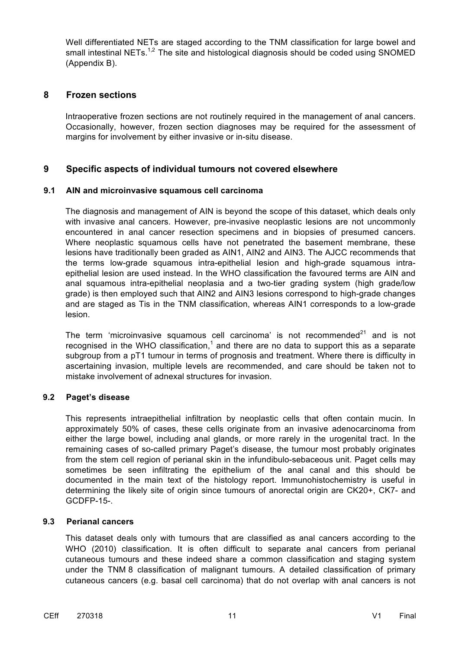Well differentiated NETs are staged according to the TNM classification for large bowel and small intestinal NETs.<sup>1,2</sup> The site and histological diagnosis should be coded using SNOMED (Appendix B).

#### **8 Frozen sections**

Intraoperative frozen sections are not routinely required in the management of anal cancers. Occasionally, however, frozen section diagnoses may be required for the assessment of margins for involvement by either invasive or in-situ disease.

#### **9 Specific aspects of individual tumours not covered elsewhere**

#### **9.1 AIN and microinvasive squamous cell carcinoma**

The diagnosis and management of AIN is beyond the scope of this dataset, which deals only with invasive anal cancers. However, pre-invasive neoplastic lesions are not uncommonly encountered in anal cancer resection specimens and in biopsies of presumed cancers. Where neoplastic squamous cells have not penetrated the basement membrane, these lesions have traditionally been graded as AIN1, AIN2 and AIN3. The AJCC recommends that the terms low-grade squamous intra-epithelial lesion and high-grade squamous intraepithelial lesion are used instead. In the WHO classification the favoured terms are AIN and anal squamous intra-epithelial neoplasia and a two-tier grading system (high grade/low grade) is then employed such that AIN2 and AIN3 lesions correspond to high-grade changes and are staged as Tis in the TNM classification, whereas AIN1 corresponds to a low-grade lesion.

The term 'microinvasive squamous cell carcinoma' is not recommended $2^1$  and is not recognised in the WHO classification,<sup>1</sup> and there are no data to support this as a separate subgroup from a pT1 tumour in terms of prognosis and treatment. Where there is difficulty in ascertaining invasion, multiple levels are recommended, and care should be taken not to mistake involvement of adnexal structures for invasion.

#### **9.2 Paget's disease**

This represents intraepithelial infiltration by neoplastic cells that often contain mucin. In approximately 50% of cases, these cells originate from an invasive adenocarcinoma from either the large bowel, including anal glands, or more rarely in the urogenital tract. In the remaining cases of so-called primary Paget's disease, the tumour most probably originates from the stem cell region of perianal skin in the infundibulo-sebaceous unit. Paget cells may sometimes be seen infiltrating the epithelium of the anal canal and this should be documented in the main text of the histology report. Immunohistochemistry is useful in determining the likely site of origin since tumours of anorectal origin are CK20+, CK7- and GCDFP-15-.

#### **9.3 Perianal cancers**

This dataset deals only with tumours that are classified as anal cancers according to the WHO (2010) classification. It is often difficult to separate anal cancers from perianal cutaneous tumours and these indeed share a common classification and staging system under the TNM 8 classification of malignant tumours. A detailed classification of primary cutaneous cancers (e.g. basal cell carcinoma) that do not overlap with anal cancers is not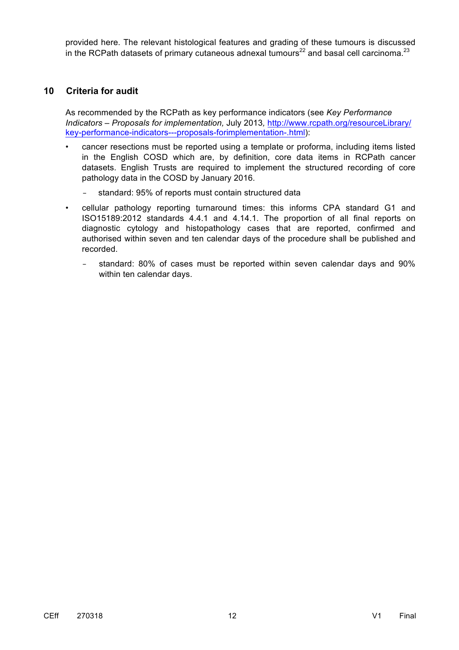provided here. The relevant histological features and grading of these tumours is discussed in the RCPath datasets of primary cutaneous adnexal tumours<sup>22</sup> and basal cell carcinoma.<sup>23</sup>

#### **10 Criteria for audit**

As recommended by the RCPath as key performance indicators (see *Key Performance Indicators – Proposals for implementation,* July 2013*,* http://www.rcpath.org/resourceLibrary/ key-performance-indicators---proposals-forimplementation-.html):

- cancer resections must be reported using a template or proforma, including items listed in the English COSD which are, by definition, core data items in RCPath cancer datasets. English Trusts are required to implement the structured recording of core pathology data in the COSD by January 2016.
	- − standard: 95% of reports must contain structured data
- cellular pathology reporting turnaround times: this informs CPA standard G1 and ISO15189:2012 standards 4.4.1 and 4.14.1. The proportion of all final reports on diagnostic cytology and histopathology cases that are reported, confirmed and authorised within seven and ten calendar days of the procedure shall be published and recorded.
	- − standard: 80% of cases must be reported within seven calendar days and 90% within ten calendar days.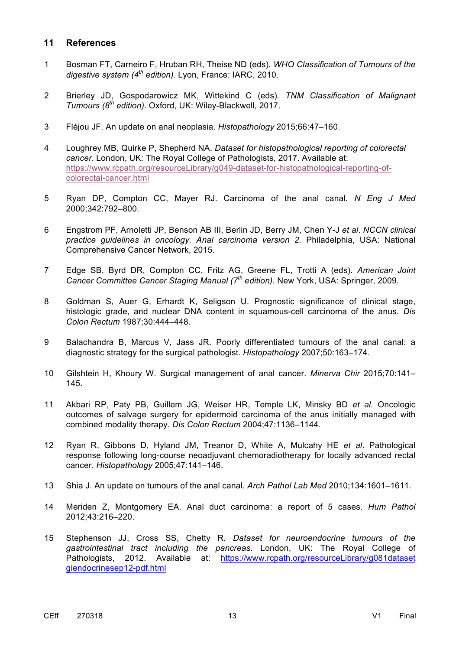#### **11 References**

- 1 Bosman FT, Carneiro F, Hruban RH, Theise ND (eds). *WHO Classification of Tumours of the digestive system (4th edition).* Lyon, France: IARC, 2010.
- 2 Brierley JD, Gospodarowicz MK, Wittekind C (eds). *TNM Classification of Malignant Tumours (8th edition).* Oxford, UK: Wiley-Blackwell, 2017.
- 3 Fléjou JF. An update on anal neoplasia. *Histopathology* 2015;66:47–160.
- 4 Loughrey MB, Quirke P, Shepherd NA. *Dataset for histopathological reporting of colorectal cancer*. London, UK: The Royal College of Pathologists, 2017. Available at: https://www.rcpath.org/resourceLibrary/g049-dataset-for-histopathological-reporting-ofcolorectal-cancer.html
- 5 Ryan DP, Compton CC, Mayer RJ. Carcinoma of the anal canal. *N Eng J Med* 2000;342:792–800.
- 6 Engstrom PF, Arnoletti JP, Benson AB III, Berlin JD, Berry JM, Chen Y-J *et al*. *NCCN clinical practice guidelines in oncology. Anal carcinoma version 2*. Philadelphia, USA: National Comprehensive Cancer Network, 2015.
- 7 Edge SB, Byrd DR, Compton CC, Fritz AG, Greene FL, Trotti A (eds). *American Joint Cancer Committee Cancer Staging Manual (7th edition).* New York, USA: Springer, 2009.
- 8 Goldman S, Auer G, Erhardt K, Seligson U. Prognostic significance of clinical stage, histologic grade, and nuclear DNA content in squamous-cell carcinoma of the anus. *Dis Colon Rectum* 1987;30:444–448.
- 9 Balachandra B, Marcus V, Jass JR. Poorly differentiated tumours of the anal canal: a diagnostic strategy for the surgical pathologist. *Histopathology* 2007;50:163–174.
- 10 Gilshtein H, Khoury W. Surgical management of anal cancer. *Minerva Chir* 2015;70:141– 145.
- 11 Akbari RP, Paty PB, Guillem JG, Weiser HR, Temple LK, Minsky BD *et al*. Oncologic outcomes of salvage surgery for epidermoid carcinoma of the anus initially managed with combined modality therapy. *Dis Colon Rectum* 2004;47:1136–1144.
- 12 Ryan R, Gibbons D, Hyland JM, Treanor D, White A, Mulcahy HE *et al*. Pathological response following long-course neoadjuvant chemoradiotherapy for locally advanced rectal cancer. *Histopathology* 2005;47:141–146.
- 13 Shia J. An update on tumours of the anal canal. *Arch Pathol Lab Med* 2010;134:1601–1611.
- 14 Meriden Z, Montgomery EA. Anal duct carcinoma: a report of 5 cases. *Hum Pathol* 2012;43:216–220.
- 15 Stephenson JJ, Cross SS, Chetty R. *Dataset for neuroendocrine tumours of the gastrointestinal tract including the pancreas*. London, UK: The Royal College of Pathologists, 2012. Available at: https://www.rcpath.org/resourceLibrary/g081dataset giendocrinesep12-pdf.html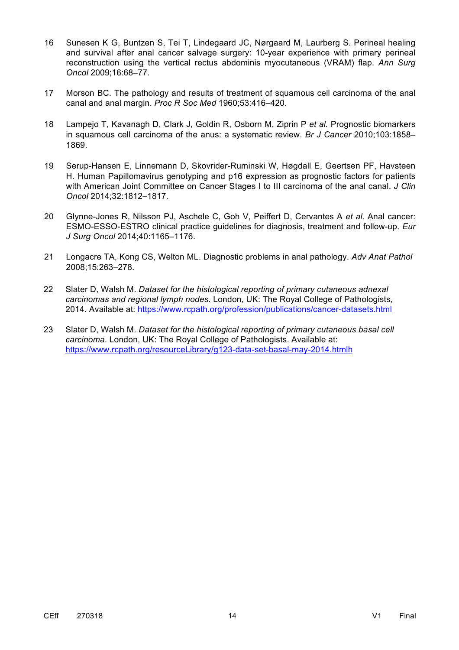- 16 Sunesen K G, Buntzen S, Tei T, Lindegaard JC, Nørgaard M, Laurberg S. Perineal healing and survival after anal cancer salvage surgery: 10-year experience with primary perineal reconstruction using the vertical rectus abdominis myocutaneous (VRAM) flap. *Ann Surg Oncol* 2009;16:68–77.
- 17 Morson BC. The pathology and results of treatment of squamous cell carcinoma of the anal canal and anal margin. *Proc R Soc Med* 1960;53:416–420.
- 18 Lampejo T, Kavanagh D, Clark J, Goldin R, Osborn M, Ziprin P *et al.* Prognostic biomarkers in squamous cell carcinoma of the anus: a systematic review. *Br J Cancer* 2010;103:1858– 1869.
- 19 Serup-Hansen E, Linnemann D, Skovrider-Ruminski W, Høgdall E, Geertsen PF, Havsteen H. Human Papillomavirus genotyping and p16 expression as prognostic factors for patients with American Joint Committee on Cancer Stages I to III carcinoma of the anal canal. *J Clin Oncol* 2014;32:1812–1817.
- 20 Glynne-Jones R, Nilsson PJ, Aschele C, Goh V, Peiffert D, Cervantes A *et al.* Anal cancer: ESMO-ESSO-ESTRO clinical practice guidelines for diagnosis, treatment and follow-up. *Eur J Surg Oncol* 2014;40:1165–1176.
- 21 Longacre TA, Kong CS, Welton ML. Diagnostic problems in anal pathology. *Adv Anat Pathol* 2008;15:263–278.
- 22 Slater D, Walsh M. *Dataset for the histological reporting of primary cutaneous adnexal carcinomas and regional lymph nodes.* London, UK: The Royal College of Pathologists, 2014. Available at: https://www.rcpath.org/profession/publications/cancer-datasets.html
- 23 Slater D, Walsh M. *Dataset for the histological reporting of primary cutaneous basal cell carcinoma*. London, UK: The Royal College of Pathologists. Available at: https://www.rcpath.org/resourceLibrary/g123-data-set-basal-may-2014.htmlh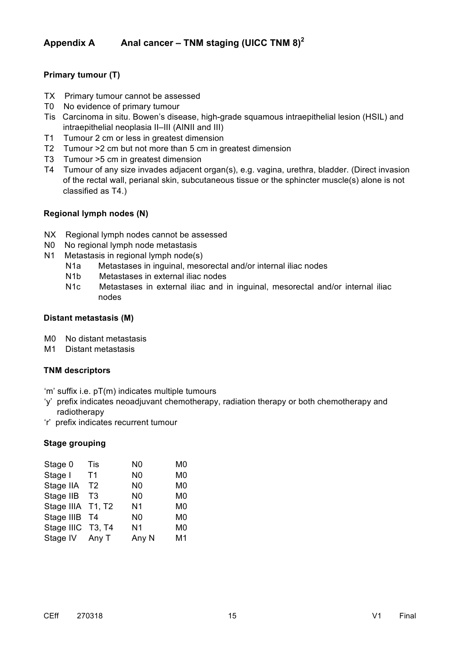### **Appendix A Anal cancer – TNM staging (UICC TNM 8)<sup>2</sup>**

#### **Primary tumour (T)**

- TX Primary tumour cannot be assessed
- T0 No evidence of primary tumour
- Tis Carcinoma in situ. Bowen's disease, high-grade squamous intraepithelial lesion (HSIL) and intraepithelial neoplasia II–III (AINII and III)
- T1 Tumour 2 cm or less in greatest dimension
- T2 Tumour >2 cm but not more than 5 cm in greatest dimension
- T3 Tumour >5 cm in greatest dimension
- T4 Tumour of any size invades adjacent organ(s), e.g. vagina, urethra, bladder. (Direct invasion of the rectal wall, perianal skin, subcutaneous tissue or the sphincter muscle(s) alone is not classified as T4.)

#### **Regional lymph nodes (N)**

- NX Regional lymph nodes cannot be assessed
- N0 No regional lymph node metastasis
- N1 Metastasis in regional lymph node(s)
	- N1a Metastases in inguinal, mesorectal and/or internal iliac nodes
	- N1b Metastases in external iliac nodes
	- N1c Metastases in external iliac and in inguinal, mesorectal and/or internal iliac nodes

#### **Distant metastasis (M)**

- M0 No distant metastasis
- M1 Distant metastasis

#### **TNM descriptors**

'm' suffix i.e. pT(m) indicates multiple tumours

- 'y' prefix indicates neoadjuvant chemotherapy, radiation therapy or both chemotherapy and radiotherapy
- 'r' prefix indicates recurrent tumour

#### **Stage grouping**

| Stage 0           | Tis            | N0             | M <sub>0</sub> |
|-------------------|----------------|----------------|----------------|
| Stage I           | T <sub>1</sub> | N <sub>0</sub> | M <sub>0</sub> |
| Stage IIA         | T <sub>2</sub> | N <sub>0</sub> | M <sub>0</sub> |
| Stage IIB         | T <sub>3</sub> | N <sub>0</sub> | M <sub>0</sub> |
| Stage IIIA T1, T2 |                | N <sub>1</sub> | M <sub>0</sub> |
| Stage IIIB        | T4             | N <sub>0</sub> | M <sub>0</sub> |
| Stage IIIC T3, T4 |                | N <sub>1</sub> | M <sub>0</sub> |
| Stage IV          | Any T          | Any N          | M <sub>1</sub> |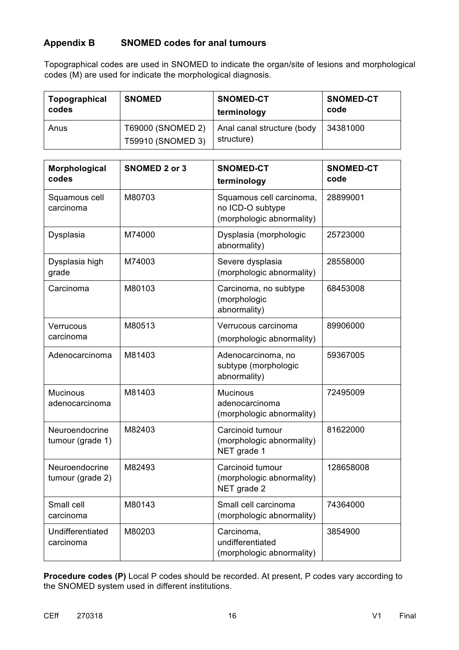### **Appendix B SNOMED codes for anal tumours**

Topographical codes are used in SNOMED to indicate the organ/site of lesions and morphological codes (M) are used for indicate the morphological diagnosis.

| Topographical | <b>SNOMED</b>                          | <b>SNOMED-CT</b>                         | <b>SNOMED-CT</b> |
|---------------|----------------------------------------|------------------------------------------|------------------|
| codes         |                                        | terminology                              | code             |
| Anus          | T69000 (SNOMED 2)<br>T59910 (SNOMED 3) | Anal canal structure (body<br>structure) | 34381000         |

| Morphological<br>codes             | <b>SNOMED 2 or 3</b> | <b>SNOMED-CT</b><br>terminology                                           | <b>SNOMED-CT</b><br>code |
|------------------------------------|----------------------|---------------------------------------------------------------------------|--------------------------|
| Squamous cell<br>carcinoma         | M80703               | Squamous cell carcinoma,<br>no ICD-O subtype<br>(morphologic abnormality) | 28899001                 |
| Dysplasia                          | M74000               | Dysplasia (morphologic<br>abnormality)                                    | 25723000                 |
| Dysplasia high<br>grade            | M74003               | Severe dysplasia<br>(morphologic abnormality)                             | 28558000                 |
| Carcinoma                          | M80103               | Carcinoma, no subtype<br>(morphologic<br>abnormality)                     | 68453008                 |
| Verrucous<br>carcinoma             | M80513               | Verrucous carcinoma<br>(morphologic abnormality)                          | 89906000                 |
| Adenocarcinoma                     | M81403               | Adenocarcinoma, no<br>subtype (morphologic<br>abnormality)                | 59367005                 |
| <b>Mucinous</b><br>adenocarcinoma  | M81403               | <b>Mucinous</b><br>adenocarcinoma<br>(morphologic abnormality)            | 72495009                 |
| Neuroendocrine<br>tumour (grade 1) | M82403               | Carcinoid tumour<br>(morphologic abnormality)<br>NET grade 1              | 81622000                 |
| Neuroendocrine<br>tumour (grade 2) | M82493               | Carcinoid tumour<br>(morphologic abnormality)<br>NET grade 2              | 128658008                |
| Small cell<br>carcinoma            | M80143               | Small cell carcinoma<br>(morphologic abnormality)                         | 74364000                 |
| Undifferentiated<br>carcinoma      | M80203               | Carcinoma,<br>undifferentiated<br>(morphologic abnormality)               | 3854900                  |

**Procedure codes (P)** Local P codes should be recorded. At present, P codes vary according to the SNOMED system used in different institutions.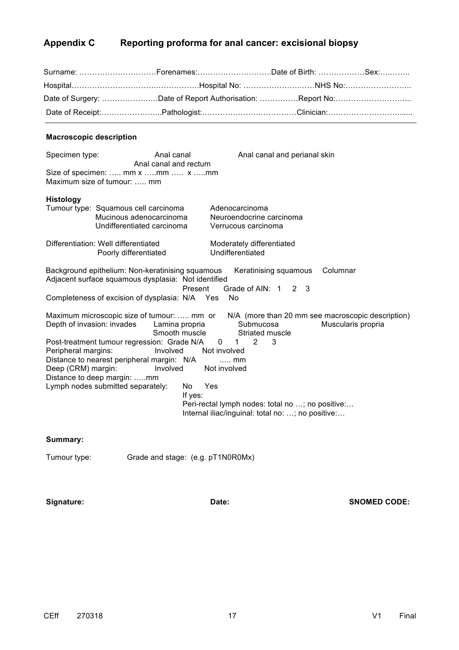### **Appendix C Reporting proforma for anal cancer: excisional biopsy**

| Surname: Forenames:Date of Birth: Sex:                            |  |
|-------------------------------------------------------------------|--|
| Hospital……………………………………………Hospital No: ……………………………NHS No:……………………… |  |
|                                                                   |  |
|                                                                   |  |

#### **Macroscopic description**

| Specimen type:                                                          | Anal canal<br>Anal canal and rectum<br>Size of specimen:  mm x mm  x mm<br>Maximum size of tumour:  mm                                                                                                                                                                 |                                                            | Anal canal and perianal skin                                                                                                                                        |                                                                         |
|-------------------------------------------------------------------------|------------------------------------------------------------------------------------------------------------------------------------------------------------------------------------------------------------------------------------------------------------------------|------------------------------------------------------------|---------------------------------------------------------------------------------------------------------------------------------------------------------------------|-------------------------------------------------------------------------|
| <b>Histology</b>                                                        | Tumour type: Squamous cell carcinoma<br>Mucinous adenocarcinoma<br>Undifferentiated carcinoma                                                                                                                                                                          |                                                            | Adenocarcinoma<br>Neuroendocrine carcinoma<br>Verrucous carcinoma                                                                                                   |                                                                         |
|                                                                         | Differentiation: Well differentiated<br>Poorly differentiated                                                                                                                                                                                                          |                                                            | Moderately differentiated<br>Undifferentiated                                                                                                                       |                                                                         |
|                                                                         | Background epithelium: Non-keratinising squamous<br>Adjacent surface squamous dysplasia: Not identified<br>Completeness of excision of dysplasia: N/A Yes                                                                                                              | Present                                                    | Keratinising squamous<br>Grade of AIN: 1<br>2 3<br>No                                                                                                               | Columnar                                                                |
| Depth of invasion: invades<br>Peripheral margins:<br>Deep (CRM) margin: | Maximum microscopic size of tumour:  mm or<br>Lamina propria<br>Smooth muscle<br>Post-treatment tumour regression: Grade N/A<br>Involved<br>Distance to nearest peripheral margin: N/A<br>Involved<br>Distance to deep margin: mm<br>Lymph nodes submitted separately: | 0<br>Not involved<br>Not involved<br>Yes<br>No.<br>If yes: | Submucosa<br>Striated muscle<br>2<br>3<br>1<br>$\ldots$ mm<br>Peri-rectal lymph nodes: total no ; no positive:<br>Internal iliac/inguinal: total no: ; no positive: | N/A (more than 20 mm see macroscopic description)<br>Muscularis propria |

#### **Summary:**

Tumour type: Grade and stage: (e.g. pT1N0R0Mx)

**Signature: Date: SNOMED CODE:**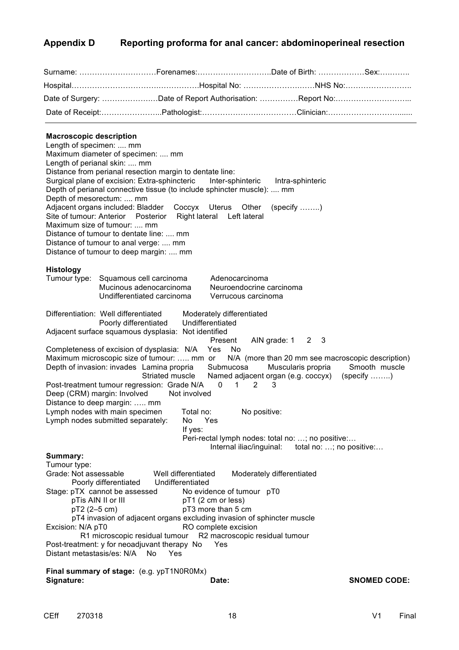### **Appendix D Reporting proforma for anal cancer: abdominoperineal resection**

| Surname: Forenames:Date of Birth: Sex:                    |  |
|-----------------------------------------------------------|--|
|                                                           |  |
| Date of Surgery: Date of Report Authorisation: Report No: |  |
|                                                           |  |

#### **Macroscopic description**

Length of specimen: .... mm Maximum diameter of specimen: .... mm Length of perianal skin: .... mm Distance from perianal resection margin to dentate line: Surgical plane of excision: Extra-sphincteric Inter-sphinteric Intra-sphinteric Depth of perianal connective tissue (to include sphincter muscle): .... mm Depth of mesorectum: .... mm Adjacent organs included: Bladder Coccyx Uterus Other (specify ……..) Site of tumour: Anterior Posterior Right lateral Left lateral Maximum size of tumour: .... mm Distance of tumour to dentate line: .... mm Distance of tumour to anal verge: .... mm Distance of tumour to deep margin: .... mm **Histology** Tumour type: Squamous cell carcinoma Adenocarcinoma Mucinous adenocarcinoma<br>
Undifferentiated carcinoma<br>
Verrucous carcinoma<br>
Verrucous carcinoma Undifferentiated carcinoma Differentiation: Well differentiated Moderately differentiated Poorly differentiated Undifferentiated Adjacent surface squamous dysplasia: Not identified Present AIN grade: 1 2 3 Completeness of excision of dysplasia: N/A Yes No Maximum microscopic size of tumour: ..... mm or N/A (more than 20 mm see macroscopic description)<br>Depth of invasion: invades Lamina propria Submucosa Muscularis propria Smooth muscle Depth of invasion: invades Lamina propria Submucosa Muscularis propria Striated muscle Named adjacent organ (e.g. coccyx) (specify ........) Post-treatment tumour regression: Grade N/A 0 1 2 3 Deep (CRM) margin: Involved Not involved Distance to deep margin: ….. mm Lymph nodes with main specimen Total no: No positive: Lymph nodes submitted separately: No Yes If yes: Peri-rectal lymph nodes: total no: …; no positive:… Internal iliac/inguinal: total no: ...; no positive:... **Summary:** Tumour type: Grade: Not assessable **Well differentiated** Moderately differentiated Poorly differentiated Undifferentiated Stage: pTX cannot be assessed No evidence of tumour pT0 pTis AIN II or III pT1 (2 cm or less) pT2 (2–5 cm) pT3 more than 5 cm pT4 invasion of adjacent organs excluding invasion of sphincter muscle Excision: N/A pT0 RO complete excision R1 microscopic residual tumour R2 macroscopic residual tumour Post-treatment: y for neoadjuvant therapy No Yes Distant metastasis/es: N/A No Yes **Final summary of stage:** (e.g. ypT1N0R0Mx) **Signature: Date: SNOMED CODE:**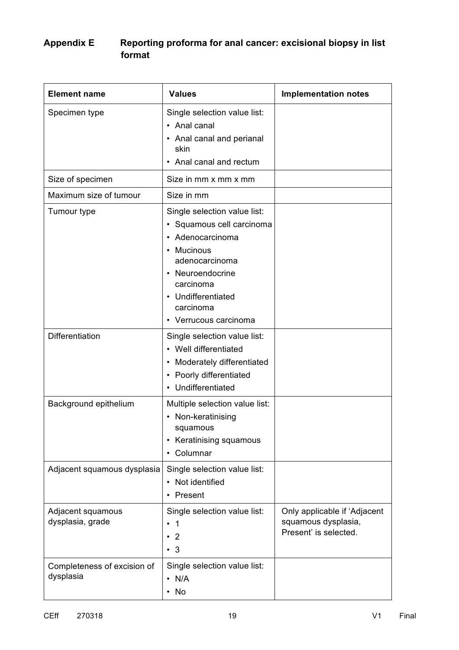### **Appendix E Reporting proforma for anal cancer: excisional biopsy in list format**

| <b>Element name</b>                      | <b>Values</b>                                                                                                                                                                                      | <b>Implementation notes</b>                                                  |
|------------------------------------------|----------------------------------------------------------------------------------------------------------------------------------------------------------------------------------------------------|------------------------------------------------------------------------------|
| Specimen type                            | Single selection value list:<br>• Anal canal<br>• Anal canal and perianal<br>skin<br>• Anal canal and rectum                                                                                       |                                                                              |
| Size of specimen                         | Size in mm x mm x mm                                                                                                                                                                               |                                                                              |
| Maximum size of tumour                   | Size in mm                                                                                                                                                                                         |                                                                              |
| Tumour type                              | Single selection value list:<br>· Squamous cell carcinoma<br>Adenocarcinoma<br>Mucinous<br>adenocarcinoma<br>Neuroendocrine<br>carcinoma<br>Undifferentiated<br>carcinoma<br>• Verrucous carcinoma |                                                                              |
| Differentiation                          | Single selection value list:<br>• Well differentiated<br>• Moderately differentiated<br>• Poorly differentiated<br>• Undifferentiated                                                              |                                                                              |
| Background epithelium                    | Multiple selection value list:<br>• Non-keratinising<br>squamous<br>• Keratinising squamous<br>• Columnar                                                                                          |                                                                              |
| Adjacent squamous dysplasia              | Single selection value list:<br>• Not identified<br>Present                                                                                                                                        |                                                                              |
| Adjacent squamous<br>dysplasia, grade    | Single selection value list:<br>-1<br>$\overline{\mathbf{2}}$<br>$\cdot$ 3                                                                                                                         | Only applicable if 'Adjacent<br>squamous dysplasia,<br>Present' is selected. |
| Completeness of excision of<br>dysplasia | Single selection value list:<br>$\cdot$ N/A<br>No                                                                                                                                                  |                                                                              |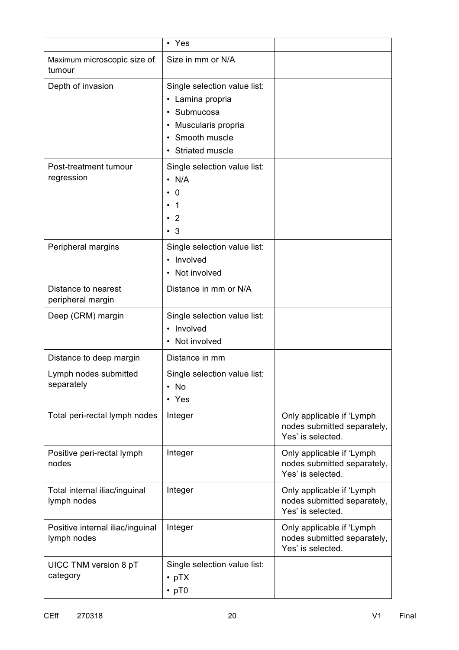|                                                 | • Yes                                                                                                                            |                                                                               |
|-------------------------------------------------|----------------------------------------------------------------------------------------------------------------------------------|-------------------------------------------------------------------------------|
| Maximum microscopic size of<br>tumour           | Size in mm or N/A                                                                                                                |                                                                               |
| Depth of invasion                               | Single selection value list:<br>• Lamina propria<br>Submucosa<br>• Muscularis propria<br>Smooth muscle<br><b>Striated muscle</b> |                                                                               |
| Post-treatment tumour<br>regression             | Single selection value list:<br>$\cdot$ N/A<br>0<br>1<br>2<br>$\cdot$ 3                                                          |                                                                               |
| Peripheral margins                              | Single selection value list:<br>• Involved<br>• Not involved                                                                     |                                                                               |
| Distance to nearest<br>peripheral margin        | Distance in mm or N/A                                                                                                            |                                                                               |
| Deep (CRM) margin                               | Single selection value list:<br>• Involved<br>Not involved                                                                       |                                                                               |
| Distance to deep margin                         | Distance in mm                                                                                                                   |                                                                               |
| Lymph nodes submitted<br>separately             | Single selection value list:<br>No<br>٠<br>Yes                                                                                   |                                                                               |
| Total peri-rectal lymph nodes                   | Integer                                                                                                                          | Only applicable if 'Lymph<br>nodes submitted separately,<br>Yes' is selected. |
| Positive peri-rectal lymph<br>nodes             | Integer                                                                                                                          | Only applicable if 'Lymph<br>nodes submitted separately,<br>Yes' is selected. |
| Total internal iliac/inguinal<br>lymph nodes    | Integer                                                                                                                          | Only applicable if 'Lymph<br>nodes submitted separately,<br>Yes' is selected. |
| Positive internal iliac/inguinal<br>lymph nodes | Integer                                                                                                                          | Only applicable if 'Lymph<br>nodes submitted separately,<br>Yes' is selected. |
| UICC TNM version 8 pT<br>category               | Single selection value list:<br>$\cdot$ pTX<br>$\cdot$ pT0                                                                       |                                                                               |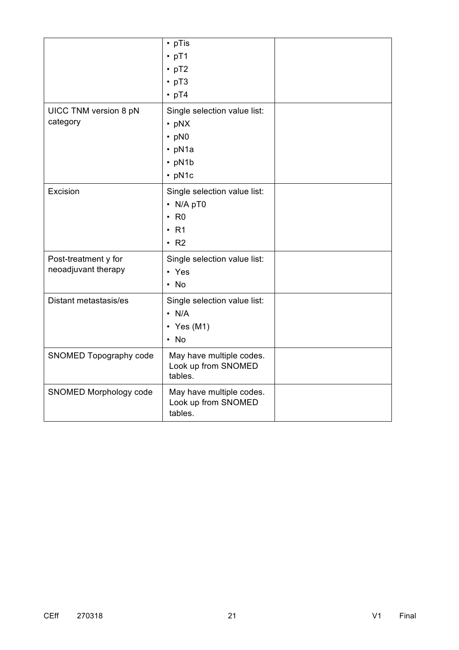|                                             | $\cdot$ pTis<br>$\cdot$ pT1<br>$\cdot$ pT2<br>$\cdot$ pT3<br>$\cdot$ pT4                                   |  |
|---------------------------------------------|------------------------------------------------------------------------------------------------------------|--|
| UICC TNM version 8 pN<br>category           | Single selection value list:<br>$\cdot$ pNX<br>$\cdot$ pN0<br>$\cdot$ pN1a<br>$\cdot$ pN1b<br>$\cdot$ pN1c |  |
| Excision                                    | Single selection value list:<br>• N/A pT0<br>R <sub>0</sub><br>$\cdot$ R1<br>$\cdot$ R <sub>2</sub>        |  |
| Post-treatment y for<br>neoadjuvant therapy | Single selection value list:<br>• Yes<br>$\cdot$ No                                                        |  |
| Distant metastasis/es                       | Single selection value list:<br>$\cdot$ N/A<br>$\cdot$ Yes (M1)<br>$\cdot$ No                              |  |
| SNOMED Topography code                      | May have multiple codes.<br>Look up from SNOMED<br>tables.                                                 |  |
| SNOMED Morphology code                      | May have multiple codes.<br>Look up from SNOMED<br>tables.                                                 |  |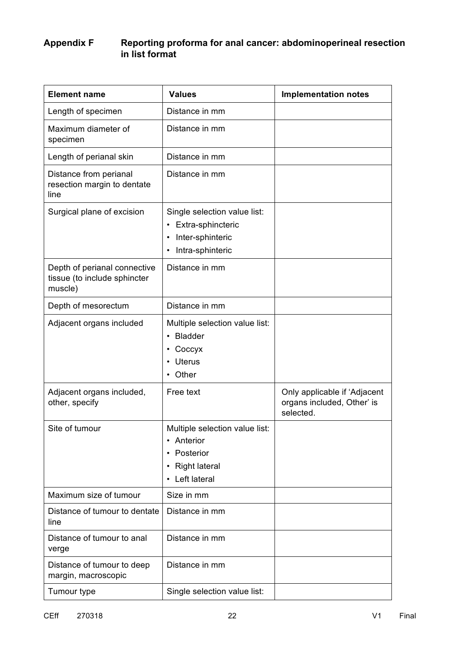### **Appendix F Reporting proforma for anal cancer: abdominoperineal resection in list format**

| <b>Element name</b>                                                     | <b>Values</b>                                                                                  | <b>Implementation notes</b>                                             |
|-------------------------------------------------------------------------|------------------------------------------------------------------------------------------------|-------------------------------------------------------------------------|
| Length of specimen                                                      | Distance in mm                                                                                 |                                                                         |
| Maximum diameter of<br>specimen                                         | Distance in mm                                                                                 |                                                                         |
| Length of perianal skin                                                 | Distance in mm                                                                                 |                                                                         |
| Distance from perianal<br>resection margin to dentate<br>line           | Distance in mm                                                                                 |                                                                         |
| Surgical plane of excision                                              | Single selection value list:<br>• Extra-sphincteric<br>Inter-sphinteric<br>Intra-sphinteric    |                                                                         |
| Depth of perianal connective<br>tissue (to include sphincter<br>muscle) | Distance in mm                                                                                 |                                                                         |
| Depth of mesorectum                                                     | Distance in mm                                                                                 |                                                                         |
| Adjacent organs included                                                | Multiple selection value list:<br>• Bladder<br>Coccyx<br><b>Uterus</b><br>• Other              |                                                                         |
| Adjacent organs included,<br>other, specify                             | Free text                                                                                      | Only applicable if 'Adjacent<br>organs included, Other' is<br>selected. |
| Site of tumour                                                          | Multiple selection value list:<br>• Anterior<br>Posterior<br>• Right lateral<br>• Left lateral |                                                                         |
| Maximum size of tumour                                                  | Size in mm                                                                                     |                                                                         |
| Distance of tumour to dentate<br>line                                   | Distance in mm                                                                                 |                                                                         |
| Distance of tumour to anal<br>verge                                     | Distance in mm                                                                                 |                                                                         |
| Distance of tumour to deep<br>margin, macroscopic                       | Distance in mm                                                                                 |                                                                         |
| Tumour type                                                             | Single selection value list:                                                                   |                                                                         |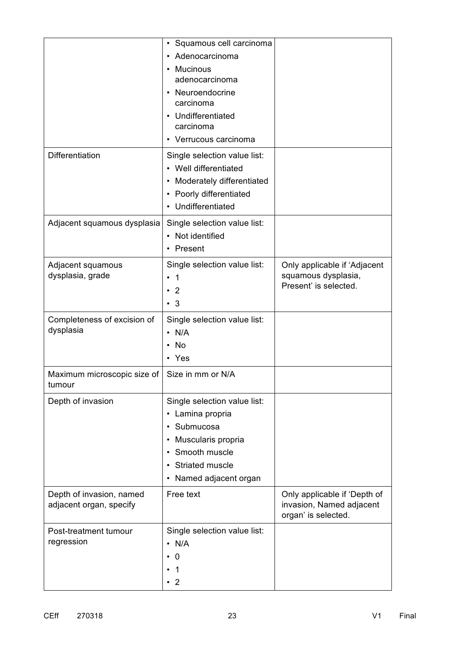|                                                     | • Squamous cell carcinoma<br>Adenocarcinoma<br><b>Mucinous</b><br>adenocarcinoma<br>Neuroendocrine<br>carcinoma<br>Undifferentiated<br>carcinoma<br>• Verrucous carcinoma |                                                                                 |  |
|-----------------------------------------------------|---------------------------------------------------------------------------------------------------------------------------------------------------------------------------|---------------------------------------------------------------------------------|--|
| Differentiation                                     | Single selection value list:<br>• Well differentiated<br>Moderately differentiated<br>Poorly differentiated<br>• Undifferentiated                                         |                                                                                 |  |
| Adjacent squamous dysplasia                         | Single selection value list:<br>• Not identified<br>• Present                                                                                                             |                                                                                 |  |
| Adjacent squamous<br>dysplasia, grade               | Single selection value list:<br>$\overline{1}$<br>$\bullet$<br>$\overline{2}$<br>$\cdot$ 3                                                                                | Only applicable if 'Adjacent<br>squamous dysplasia,<br>Present' is selected.    |  |
| Completeness of excision of<br>dysplasia            | Single selection value list:<br>$\cdot$ N/A<br>No<br>• Yes                                                                                                                |                                                                                 |  |
| Maximum microscopic size of<br>tumour               | Size in mm or N/A                                                                                                                                                         |                                                                                 |  |
| Depth of invasion                                   | Single selection value list:<br>• Lamina propria<br>Submucosa<br>Muscularis propria<br>Smooth muscle<br>Striated muscle<br>٠<br>Named adjacent organ<br>$\bullet$         |                                                                                 |  |
| Depth of invasion, named<br>adjacent organ, specify | Free text                                                                                                                                                                 | Only applicable if 'Depth of<br>invasion, Named adjacent<br>organ' is selected. |  |
| Post-treatment tumour<br>regression                 | Single selection value list:<br>$\cdot$ N/A<br>0<br>1<br>$\cdot$ 2                                                                                                        |                                                                                 |  |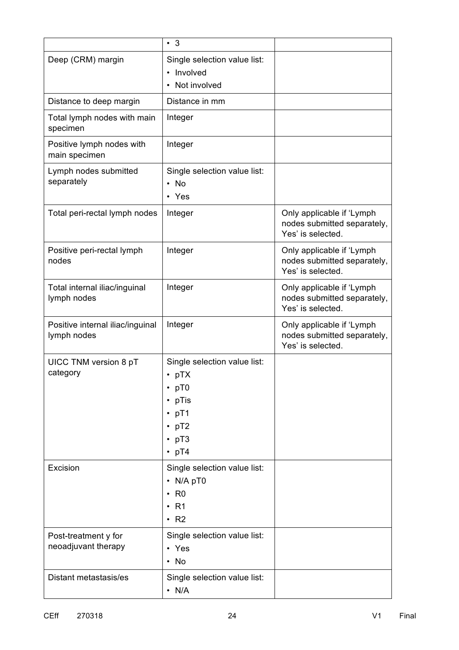|                                                 | $\cdot$ 3                                                                                                                      |                                                                               |  |
|-------------------------------------------------|--------------------------------------------------------------------------------------------------------------------------------|-------------------------------------------------------------------------------|--|
| Deep (CRM) margin                               | Single selection value list:<br>• Involved<br>Not involved                                                                     |                                                                               |  |
| Distance to deep margin                         | Distance in mm                                                                                                                 |                                                                               |  |
| Total lymph nodes with main<br>specimen         | Integer                                                                                                                        |                                                                               |  |
| Positive lymph nodes with<br>main specimen      | Integer                                                                                                                        |                                                                               |  |
| Lymph nodes submitted<br>separately             | Single selection value list:<br>$\cdot$ No<br>• Yes                                                                            |                                                                               |  |
| Total peri-rectal lymph nodes                   | Integer                                                                                                                        | Only applicable if 'Lymph<br>nodes submitted separately,<br>Yes' is selected. |  |
| Positive peri-rectal lymph<br>nodes             | Integer                                                                                                                        | Only applicable if 'Lymph<br>nodes submitted separately,<br>Yes' is selected. |  |
| Total internal iliac/inguinal<br>lymph nodes    | Integer                                                                                                                        | Only applicable if 'Lymph<br>nodes submitted separately,<br>Yes' is selected. |  |
| Positive internal iliac/inguinal<br>lymph nodes | Integer                                                                                                                        | Only applicable if 'Lymph<br>nodes submitted separately,<br>Yes' is selected. |  |
| UICC TNM version 8 pT<br>category               | Single selection value list:<br>$\cdot$ pTX<br>$\cdot$ pTO<br>$\cdot$ pTis<br>$\cdot$ pT1<br>pT2<br>$\cdot$ pT3<br>$\cdot$ pT4 |                                                                               |  |
| Excision                                        | Single selection value list:<br>$\cdot$ N/A pT0<br>R <sub>0</sub><br>$\cdot$ R1<br>$\cdot$ R <sub>2</sub>                      |                                                                               |  |
| Post-treatment y for<br>neoadjuvant therapy     | Single selection value list:<br>• Yes<br>$\cdot$ No                                                                            |                                                                               |  |
| Distant metastasis/es                           | Single selection value list:<br>$\cdot$ N/A                                                                                    |                                                                               |  |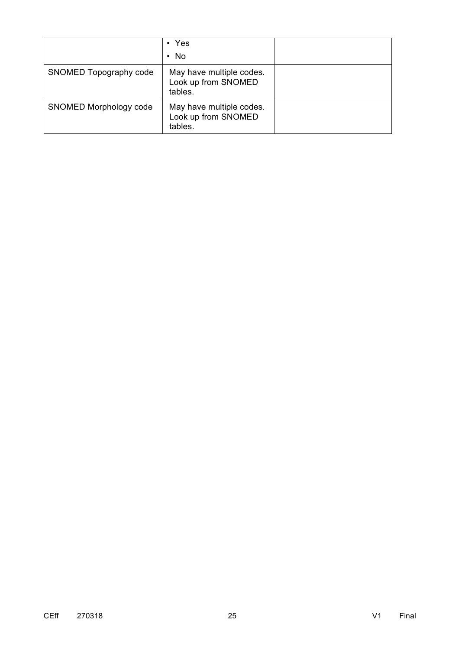|                        | $\cdot$ Yes                                                |  |
|------------------------|------------------------------------------------------------|--|
|                        | $\cdot$ No                                                 |  |
| SNOMED Topography code | May have multiple codes.<br>Look up from SNOMED<br>tables. |  |
| SNOMED Morphology code | May have multiple codes.<br>Look up from SNOMED<br>tables. |  |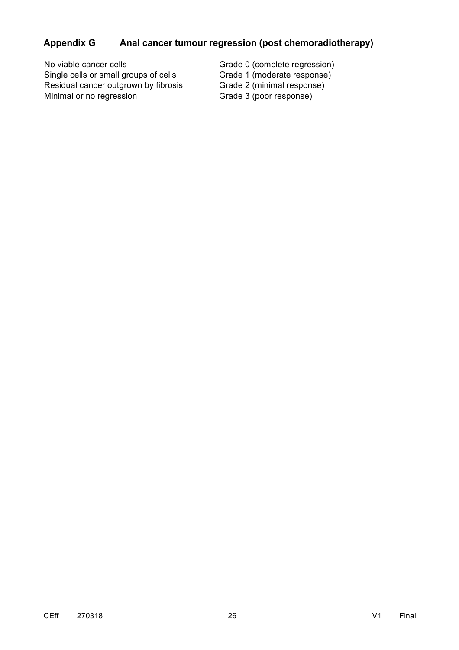# **Appendix G Anal cancer tumour regression (post chemoradiotherapy)**

| No viable cancer cells                | Grade 0 (complete regression) |
|---------------------------------------|-------------------------------|
| Single cells or small groups of cells | Grade 1 (moderate response)   |
| Residual cancer outgrown by fibrosis  | Grade 2 (minimal response)    |
| Minimal or no regression              | Grade 3 (poor response)       |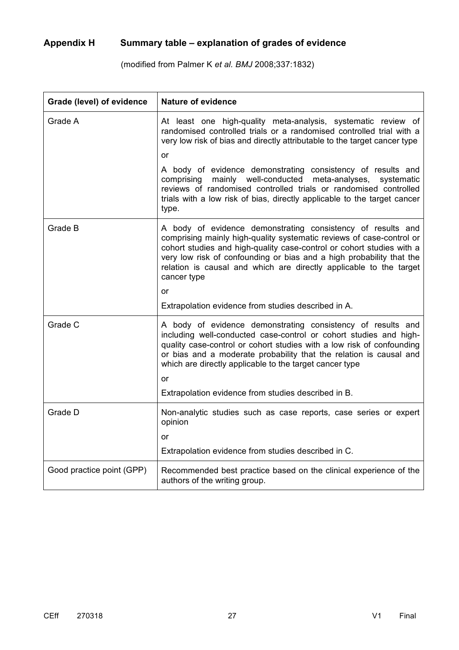# **Appendix H Summary table – explanation of grades of evidence**

(modified from Palmer K *et al. BMJ* 2008;337:1832)

| Grade (level) of evidence | <b>Nature of evidence</b>                                                                                                                                                                                                                                                                                                                                                 |  |
|---------------------------|---------------------------------------------------------------------------------------------------------------------------------------------------------------------------------------------------------------------------------------------------------------------------------------------------------------------------------------------------------------------------|--|
| Grade A                   | At least one high-quality meta-analysis, systematic review of<br>randomised controlled trials or a randomised controlled trial with a<br>very low risk of bias and directly attributable to the target cancer type                                                                                                                                                        |  |
|                           | or                                                                                                                                                                                                                                                                                                                                                                        |  |
|                           | A body of evidence demonstrating consistency of results and<br>mainly well-conducted<br>meta-analyses,<br>comprising<br>systematic<br>reviews of randomised controlled trials or randomised controlled<br>trials with a low risk of bias, directly applicable to the target cancer<br>type.                                                                               |  |
| Grade B                   | A body of evidence demonstrating consistency of results and<br>comprising mainly high-quality systematic reviews of case-control or<br>cohort studies and high-quality case-control or cohort studies with a<br>very low risk of confounding or bias and a high probability that the<br>relation is causal and which are directly applicable to the target<br>cancer type |  |
|                           | or                                                                                                                                                                                                                                                                                                                                                                        |  |
|                           | Extrapolation evidence from studies described in A.                                                                                                                                                                                                                                                                                                                       |  |
| Grade C                   | A body of evidence demonstrating consistency of results and<br>including well-conducted case-control or cohort studies and high-<br>quality case-control or cohort studies with a low risk of confounding<br>or bias and a moderate probability that the relation is causal and<br>which are directly applicable to the target cancer type<br>or                          |  |
|                           | Extrapolation evidence from studies described in B.                                                                                                                                                                                                                                                                                                                       |  |
| Grade D                   | Non-analytic studies such as case reports, case series or expert<br>opinion                                                                                                                                                                                                                                                                                               |  |
|                           | or                                                                                                                                                                                                                                                                                                                                                                        |  |
|                           | Extrapolation evidence from studies described in C.                                                                                                                                                                                                                                                                                                                       |  |
| Good practice point (GPP) | Recommended best practice based on the clinical experience of the<br>authors of the writing group.                                                                                                                                                                                                                                                                        |  |